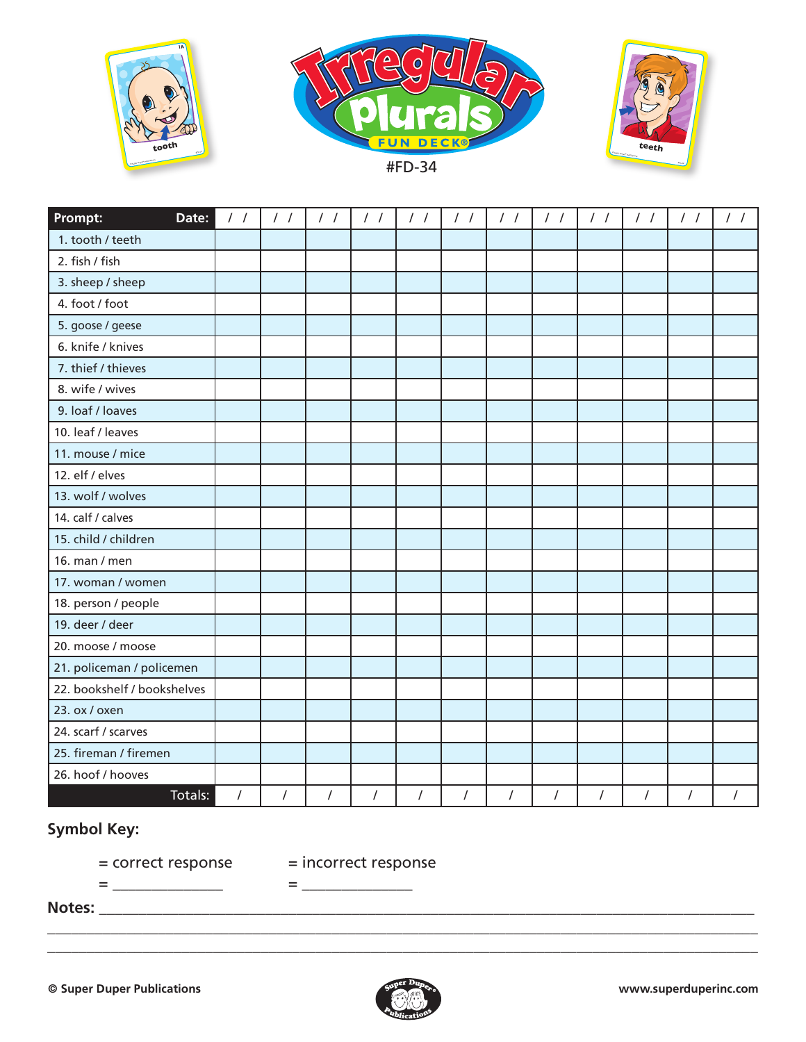





| Prompt:<br>Date:            | $\frac{1}{2}$ | $\frac{1}{2}$ | $\frac{1}{2}$ | $\frac{1}{2}$  | $\frac{1}{2}$ | $\frac{1}{2}$  | $\frac{1}{2}$  | $\frac{1}{2}$  | $\frac{1}{2}$  | $\frac{1}{2}$ | $\frac{1}{2}$ | $\frac{1}{2}$ |
|-----------------------------|---------------|---------------|---------------|----------------|---------------|----------------|----------------|----------------|----------------|---------------|---------------|---------------|
| 1. tooth / teeth            |               |               |               |                |               |                |                |                |                |               |               |               |
| 2. fish / fish              |               |               |               |                |               |                |                |                |                |               |               |               |
| 3. sheep / sheep            |               |               |               |                |               |                |                |                |                |               |               |               |
| 4. foot / foot              |               |               |               |                |               |                |                |                |                |               |               |               |
| 5. goose / geese            |               |               |               |                |               |                |                |                |                |               |               |               |
| 6. knife / knives           |               |               |               |                |               |                |                |                |                |               |               |               |
| 7. thief / thieves          |               |               |               |                |               |                |                |                |                |               |               |               |
| 8. wife / wives             |               |               |               |                |               |                |                |                |                |               |               |               |
| 9. loaf / loaves            |               |               |               |                |               |                |                |                |                |               |               |               |
| 10. leaf / leaves           |               |               |               |                |               |                |                |                |                |               |               |               |
| 11. mouse / mice            |               |               |               |                |               |                |                |                |                |               |               |               |
| 12. elf / elves             |               |               |               |                |               |                |                |                |                |               |               |               |
| 13. wolf / wolves           |               |               |               |                |               |                |                |                |                |               |               |               |
| 14. calf / calves           |               |               |               |                |               |                |                |                |                |               |               |               |
| 15. child / children        |               |               |               |                |               |                |                |                |                |               |               |               |
| 16. man / men               |               |               |               |                |               |                |                |                |                |               |               |               |
| 17. woman / women           |               |               |               |                |               |                |                |                |                |               |               |               |
| 18. person / people         |               |               |               |                |               |                |                |                |                |               |               |               |
| 19. deer / deer             |               |               |               |                |               |                |                |                |                |               |               |               |
| 20. moose / moose           |               |               |               |                |               |                |                |                |                |               |               |               |
| 21. policeman / policemen   |               |               |               |                |               |                |                |                |                |               |               |               |
| 22. bookshelf / bookshelves |               |               |               |                |               |                |                |                |                |               |               |               |
| 23. ox / oxen               |               |               |               |                |               |                |                |                |                |               |               |               |
| 24. scarf / scarves         |               |               |               |                |               |                |                |                |                |               |               |               |
| 25. fireman / firemen       |               |               |               |                |               |                |                |                |                |               |               |               |
| 26. hoof / hooves           |               |               |               |                |               |                |                |                |                |               |               |               |
| Totals:                     | $\prime$      | $\sqrt{ }$    | $\sqrt{ }$    | $\overline{I}$ | $\sqrt{ }$    | $\overline{I}$ | $\overline{I}$ | $\overline{I}$ | $\overline{I}$ | $\prime$      | $\sqrt{ }$    | $\prime$      |

## **Symbol Key:**

= correct response = incorrect response = \_\_\_\_\_\_\_\_\_\_\_\_\_\_ = \_\_\_\_\_\_\_\_\_\_\_\_\_\_

**Notes:** \_\_\_\_\_\_\_\_\_\_\_\_\_\_\_\_\_\_\_\_\_\_\_\_\_\_\_\_\_\_\_\_\_\_\_\_\_\_\_\_\_\_\_\_\_\_\_\_\_\_\_\_\_\_\_\_\_\_\_\_\_\_\_\_\_\_\_\_\_\_\_\_\_\_\_\_\_\_\_\_\_\_\_



\_\_\_\_\_\_\_\_\_\_\_\_\_\_\_\_\_\_\_\_\_\_\_\_\_\_\_\_\_\_\_\_\_\_\_\_\_\_\_\_\_\_\_\_\_\_\_\_\_\_\_\_\_\_\_\_\_\_\_\_\_\_\_\_\_\_\_\_\_\_\_\_\_\_\_\_\_\_\_\_\_\_\_\_\_\_\_\_\_\_ \_\_\_\_\_\_\_\_\_\_\_\_\_\_\_\_\_\_\_\_\_\_\_\_\_\_\_\_\_\_\_\_\_\_\_\_\_\_\_\_\_\_\_\_\_\_\_\_\_\_\_\_\_\_\_\_\_\_\_\_\_\_\_\_\_\_\_\_\_\_\_\_\_\_\_\_\_\_\_\_\_\_\_\_\_\_\_\_\_\_